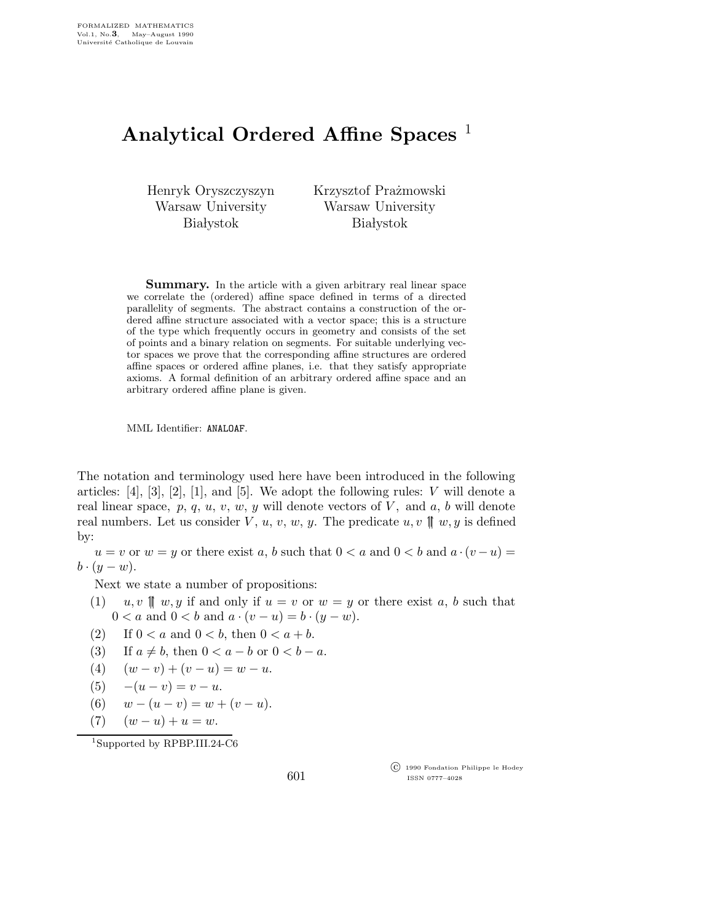## Analytical Ordered Affine Spaces

Henryk Oryszczyszyn Warsaw University **Białystok** 

Krzysztof Prażmowski Warsaw University **Białystok** 

**Summary.** In the article with a given arbitrary real linear space we correlate the (ordered) affine space defined in terms of a directed parallelity of segments. The abstract contains a construction of the ordered affine structure associated with a vector space; this is a structure of the type which frequently occurs in geometry and consists of the set of points and a binary relation on segments. For suitable underlying vector spaces we prove that the corresponding affine structures are ordered affine spaces or ordered affine planes, i.e. that they satisfy appropriate axioms. A formal definition of an arbitrary ordered affine space and an arbitrary ordered affine plane is given.

MML Identifier: ANALOAF.

The notation and terminology used here have been introduced in the following articles:  $[4]$ ,  $[3]$ ,  $[2]$ ,  $[1]$ , and  $[5]$ . We adopt the following rules:  $V$  will denote a real linear space,  $p, q, u, v, w, y$  will denote vectors of V, and a, b will denote real numbers. Let us consider V, u, v, w, y. The predicate  $u, v \parallel w, y$  is defined by:

 $u = v$  or  $w = y$  or there exist a, b such that  $0 < a$  and  $0 < b$  and  $a \cdot (v - u) =$  $b \cdot (y-w)$ .

Next we state a number of propositions:

- (1)  $u, v \parallel w, y$  if and only if  $u = v$  or  $w = y$  or there exist a, b such that  $0 < a$  and  $0 < b$  and  $a \cdot (v - u) = b \cdot (y - w)$ .
- (2) If  $0 < a$  and  $0 < b$ , then  $0 < a + b$ .
- (3) If  $a \neq b$ , then  $0 < a b$  or  $0 < b a$ .
- (4)  $(w v) + (v u) = w u.$
- (5)  $-(u v) = v u$ .
- (6)  $w (u v) = w + (v u).$
- (7)  $(w u) + u = w.$

<sup>1</sup>Supported by RPBP.III.24-C6

601

 c 1990 Fondation Philippe le Hodey ISSN 0777–4028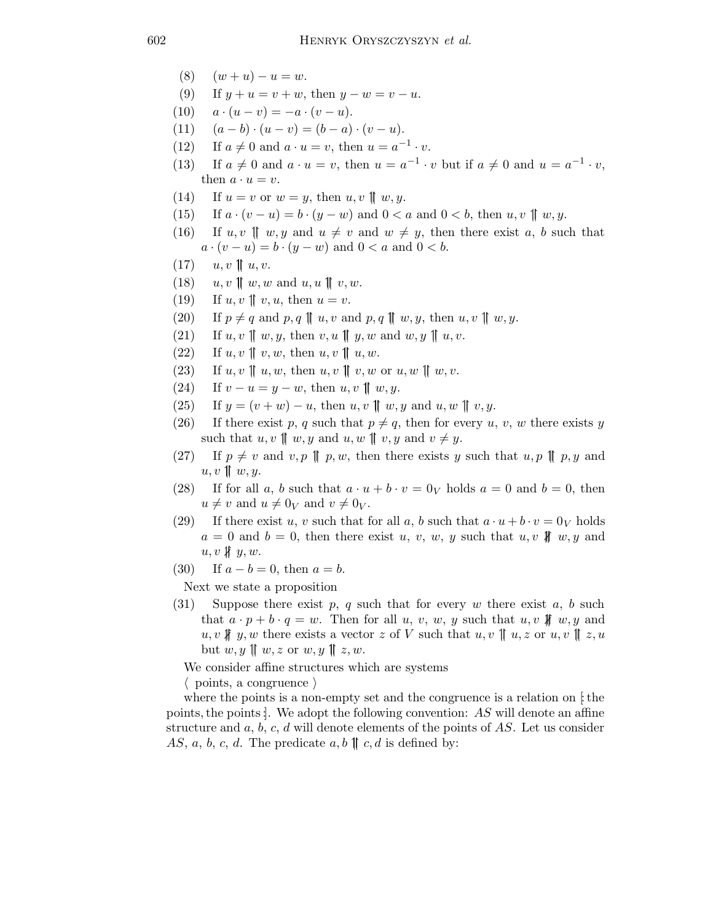- (8)  $(w + u) u = w.$
- (9) If  $y + u = v + w$ , then  $y w = v u$ .
- (10)  $a \cdot (u v) = -a \cdot (v u).$
- (11)  $(a b) \cdot (u v) = (b a) \cdot (v u).$
- (12) If  $a \neq 0$  and  $a \cdot u = v$ , then  $u = a^{-1} \cdot v$ .
- (13) If  $a \neq 0$  and  $a \cdot u = v$ , then  $u = a^{-1} \cdot v$  but if  $a \neq 0$  and  $u = a^{-1} \cdot v$ , then  $a \cdot u = v$ .
- (14) If  $u = v$  or  $w = y$ , then  $u, v \parallel w, y$ .
- (15) If  $a \cdot (v u) = b \cdot (y w)$  and  $0 < a$  and  $0 < b$ , then  $u, v \parallel w, y$ .
- (16) If  $u, v \parallel w, y$  and  $u \neq v$  and  $w \neq y$ , then there exist a, b such that  $a \cdot (v - u) = b \cdot (y - w)$  and  $0 < a$  and  $0 < b$ .
- $(17)$   $u, v \parallel u, v.$
- (18)  $u, v \parallel w, w \text{ and } u, u \parallel v, w.$
- (19) If  $u, v \parallel v, u$ , then  $u = v$ .
- (20) If  $p \neq q$  and  $p, q \parallel u, v$  and  $p, q \parallel w, y$ , then  $u, v \parallel w, y$ .
- (21) If  $u, v \parallel w, y$ , then  $v, u \parallel y, w$  and  $w, y \parallel u, v$ .
- (22) If  $u, v \parallel v, w$ , then  $u, v \parallel u, w$ .
- (23) If  $u, v \parallel u, w$ , then  $u, v \parallel v, w$  or  $u, w \parallel w, v$ .
- (24) If  $v u = y w$ , then  $u, v \parallel w, y$ .
- (25) If  $y = (v + w) u$ , then  $u, v \parallel w, y$  and  $u, w \parallel v, y$ .
- (26) If there exist p, q such that  $p \neq q$ , then for every u, v, w there exists y such that  $u, v \parallel w, y$  and  $u, w \parallel v, y$  and  $v \neq y$ .
- (27) If  $p \neq v$  and  $v, p \parallel p, w$ , then there exists y such that  $u, p \parallel p, y$  and  $u, v \parallel w, y.$
- (28) If for all a, b such that  $a \cdot u + b \cdot v = 0_V$  holds  $a = 0$  and  $b = 0$ , then  $u \neq v$  and  $u \neq 0<sub>V</sub>$  and  $v \neq 0<sub>V</sub>$ .
- (29) If there exist u, v such that for all a, b such that  $a \cdot u + b \cdot v = 0_V$  holds  $a = 0$  and  $b = 0$ , then there exist u, v, w, y such that u, v  $\text{H}$  w, y and  $u, v \nparallel y, w.$
- (30) If  $a b = 0$ , then  $a = b$ .

Next we state a proposition

(31) Suppose there exist p, q such that for every w there exist a, b such that  $a \cdot p + b \cdot q = w$ . Then for all u, v, w, y such that u, v \#leta w, y and  $u, v \nparallel y, w$  there exists a vector z of V such that  $u, v \parallel u, z$  or  $u, v \parallel z, u$ but  $w, y \parallel w, z \text{ or } w, y \parallel z, w$ .

We consider affine structures which are systems

 $\langle$  points, a congruence  $\rangle$ 

where the points is a non-empty set and the congruence is a relation on  $\ddagger$  the points, the points: We adopt the following convention:  $AS$  will denote an affine structure and  $a, b, c, d$  will denote elements of the points of  $AS$ . Let us consider AS, a, b, c, d. The predicate  $a, b \parallel c, d$  is defined by: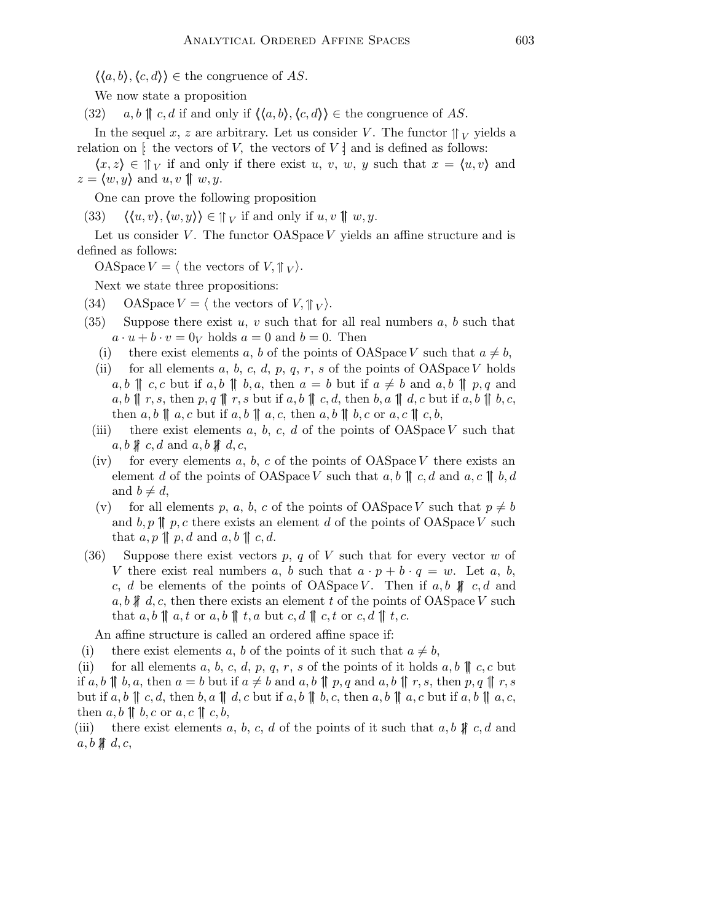$\langle \langle a,b \rangle, \langle c,d \rangle \rangle \in \text{the congruence of } AS.$ 

We now state a proposition

(32)  $a, b \parallel c, d$  if and only if  $\langle \langle a, b \rangle, \langle c, d \rangle \rangle \in \mathfrak{the}$  congruence of AS.

In the sequel x, z are arbitrary. Let us consider V. The functor  $\parallel_V$  yields a relation on  $\vdots$  the vectors of V, the vectors of V  $\vdots$  and is defined as follows:

 $\langle x,z \rangle \in \mathbb{N}_V$  if and only if there exist u, v, w, y such that  $x = \langle u,v \rangle$  and  $z = \langle w, y \rangle$  and  $u, v \parallel w, y$ .

One can prove the following proposition

(33)  $\langle \langle u, v \rangle, \langle w, y \rangle \rangle \in \mathbb{N}_V$  if and only if  $u, v \parallel w, y$ .

Let us consider  $V$ . The functor  $OASpace$   $V$  yields an affine structure and is defined as follows:

OASpace  $V = \langle$  the vectors of  $V, \parallel_V \rangle$ .

Next we state three propositions:

- (34) OASpace  $V = \langle$  the vectors of  $V, \parallel_V \rangle$ .
- (35) Suppose there exist u, v such that for all real numbers a, b such that  $a \cdot u + b \cdot v = 0_V$  holds  $a = 0$  and  $b = 0$ . Then
	- (i) there exist elements a, b of the points of OASpace V such that  $a \neq b$ ,
	- (ii) for all elements a, b, c, d, p, q, r, s of the points of OASpace V holds  $a, b \parallel c, c$  but if  $a, b \parallel b, a$ , then  $a = b$  but if  $a \neq b$  and  $a, b \parallel p, q$  and  $a, b \parallel r, s$ , then  $p, q \parallel r, s$  but if  $a, b \parallel c, d$ , then  $b, a \parallel d, c$  but if  $a, b \parallel b, c$ , then  $a, b \parallel a, c$  but if  $a, b \parallel a, c$ , then  $a, b \parallel b, c$  or  $a, c \parallel c, b$ ,
	- (iii) there exist elements a, b, c, d of the points of  $OASpace V$  such that  $a, b \nparallel c, d \text{ and } a, b \nparallel d, c$
	- (iv) for every elements a, b, c of the points of  $OASpace$  there exists an element d of the points of OASpace V such that  $a, b \parallel c, d$  and  $a, c \parallel b, d$ and  $b \neq d$ ,
	- (v) for all elements p, a, b, c of the points of OASpace V such that  $p \neq b$ and  $b, p \parallel p, c$  there exists an element d of the points of OASpace V such that  $a, p \parallel p, d$  and  $a, b \parallel c, d$ .
- (36) Suppose there exist vectors p, q of V such that for every vector w of V there exist real numbers a, b such that  $a \cdot p + b \cdot q = w$ . Let a, b, c, d be elements of the points of OASpace V. Then if  $a, b \nparallel c, d$  and  $a, b \nparallel d, c$ , then there exists an element t of the points of OASpace V such that  $a, b \parallel a, t \text{ or } a, b \parallel t, a \text{ but } c, d \parallel c, t \text{ or } c, d \parallel t, c.$

An affine structure is called an ordered affine space if:

(i) there exist elements a, b of the points of it such that  $a \neq b$ ,

(ii) for all elements a, b, c, d, p, q, r, s of the points of it holds a, b  $\parallel c, c$  but if a, b || b, a, then  $a = b$  but if  $a \neq b$  and  $a, b$  || p, q and  $a, b$  || r, s, then p, q || r, s but if  $a, b \parallel c, d$ , then  $b, a \parallel d, c$  but if  $a, b \parallel b, c$ , then  $a, b \parallel a, c$  but if  $a, b \parallel a, c$ , then  $a, b \parallel b, c \text{ or } a, c \parallel c, b$ ,

(iii) there exist elements a, b, c, d of the points of it such that a, b  $\oint c, d$  and  $a, b \nparallel d, c$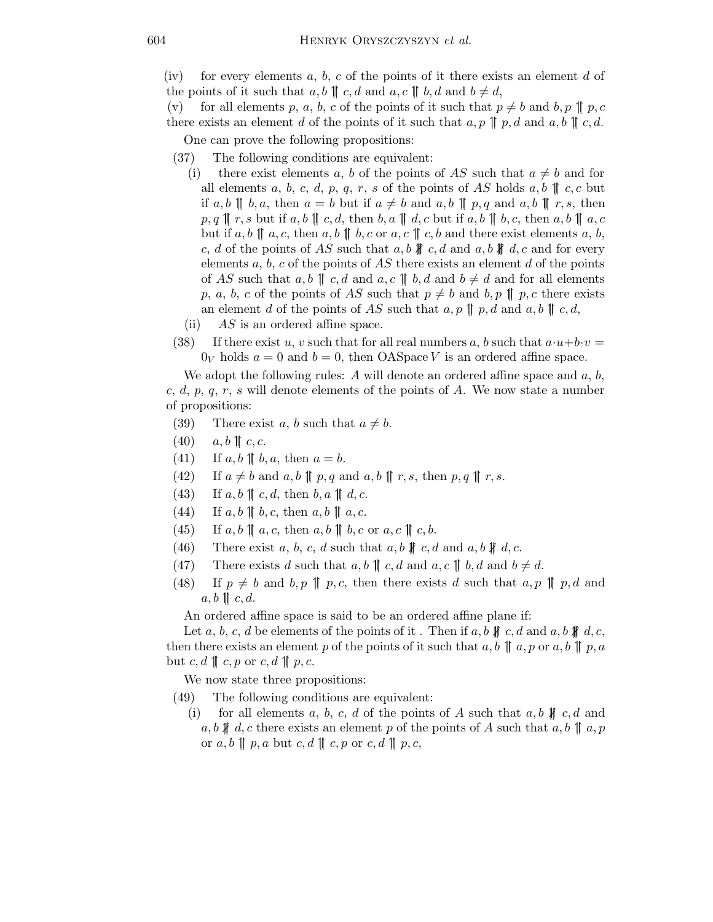(iv) for every elements a, b, c of the points of it there exists an element d of the points of it such that  $a, b \parallel c, d$  and  $a, c \parallel b, d$  and  $b \neq d$ ,

(v) for all elements p, a, b, c of the points of it such that  $p \neq b$  and b, p  $\parallel p, c$ there exists an element d of the points of it such that  $a, p \parallel p, d$  and  $a, b \parallel c, d$ .

One can prove the following propositions:

- (37) The following conditions are equivalent:
	- (i) there exist elements a, b of the points of AS such that  $a \neq b$  and for all elements a, b, c, d, p, q, r, s of the points of AS holds a, b  $\parallel c, c$  but if a, b  $\parallel$  b, a, then  $a = b$  but if  $a \neq b$  and  $a, b \parallel p, q$  and  $a, b \parallel r, s$ , then  $p, q \parallel r, s$  but if  $a, b \parallel c, d$ , then  $b, a \parallel d, c$  but if  $a, b \parallel b, c$ , then  $a, b \parallel a, c$ but if  $a, b \parallel a, c$ , then  $a, b \parallel b, c$  or  $a, c \parallel c, b$  and there exist elements  $a, b$ , c, d of the points of AS such that  $a, b \nparallel c, d$  and  $a, b \nparallel d, c$  and for every elements a, b, c of the points of AS there exists an element d of the points of AS such that  $a, b \parallel c, d$  and  $a, c \parallel b, d$  and  $b \neq d$  and for all elements p, a, b, c of the points of AS such that  $p \neq b$  and  $b, p \parallel p, c$  there exists an element d of the points of AS such that  $a, p \parallel p, d$  and  $a, b \parallel c, d$ ,
- (ii)  $AS$  is an ordered affine space.
- (38) If there exist u, v such that for all real numbers a, b such that  $a \cdot u + b \cdot v =$  $0_V$  holds  $a = 0$  and  $b = 0$ , then OASpace V is an ordered affine space.

We adopt the following rules: A will denote an ordered affine space and  $a, b$ , c, d, p, q, r, s will denote elements of the points of A. We now state a number of propositions:

- (39) There exist a, b such that  $a \neq b$ .
- (40)  $a, b \parallel c, c.$
- (41) If  $a, b \parallel b, a$ , then  $a = b$ .
- (42) If  $a \neq b$  and  $a, b \parallel p, q$  and  $a, b \parallel r, s$ , then  $p, q \parallel r, s$ .
- (43) If  $a, b \parallel c, d$ , then  $b, a \parallel d, c$ .
- (44) If  $a, b \parallel b, c$ , then  $a, b \parallel a, c$ .
- (45) If  $a, b \parallel a, c$ , then  $a, b \parallel b, c$  or  $a, c \parallel c, b$ .
- (46) There exist a, b, c, d such that a, b  $\text{# } c$ , d and a, b  $\text{# } d$ , c.
- (47) There exists d such that  $a, b \parallel c, d$  and  $a, c \parallel b, d$  and  $b \neq d$ .
- (48) If  $p \neq b$  and  $b, p \parallel p, c$ , then there exists d such that  $a, p \parallel p, d$  and  $a, b \parallel c, d.$

An ordered affine space is said to be an ordered affine plane if:

Let a, b, c, d be elements of the points of it. Then if a, b  $\oint c, d$  and a, b  $\oint d, c$ , then there exists an element p of the points of it such that  $a, b \parallel a, p \text{ or } a, b \parallel p, a$ but  $c, d \parallel c, p \text{ or } c, d \parallel p, c$ .

We now state three propositions:

- (49) The following conditions are equivalent:
	- (i) for all elements a, b, c, d of the points of A such that  $a, b \nparallel c, d$  and  $a, b \nparallel d, c$  there exists an element p of the points of A such that  $a, b \parallel a, p$ or  $a, b \parallel p, a$  but  $c, d \parallel c, p$  or  $c, d \parallel p, c$ ,